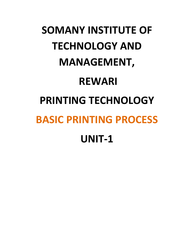## **SOMANY INSTITUTE OF TECHNOLOGY AND MANAGEMENT, REWARI PRINTING TECHNOLOGY BASIC PRINTING PROCESS UNIT-1**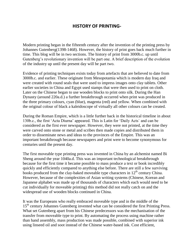## **HISTORY OF PRINTING-**

Modern printing began in the fifteenth century after the invention of the printing press by Johannes Gutenberg(1398-1468). However, the history of print goes back much further in time. This blog will be in two sections. The history of print from 3000b.c. up until Gutenberg's revolutionary invention will be part one. A brief description of the evolution of the industry up until the present day will be part two.

Evidence of printing techniques exists today from artefacts that are believed to date from 3000b.c. and earlier. These originate from Mesopotamia which is modern day Iraq and were created with round seals that were used to impress images onto clay tablets. Other earlier societies in China and Egypt used stamps that were then used to print on cloth. Later on the Chinese began to use wooden blocks to print onto silk. During the Han Dynasty (around 220a.d.) a further breakthrough occurred when print was produced in the three primary colours, cyan (blue), magenta (red) and yellow. When combined with the original colour of black a kaleidoscope of virtually all other colours can be created.

During the Roman Empire, which is a little further back in the historical timeline in about 130b.c., the first 'Acta Diurna' appeared. This is Latin for 'Daily Acts` and can be considered as the first ever newspaper. However, they were not printed, at the time they were carved onto stone or metal and scribes then made copies and distributed them in order to disseminate news and ideas to the provinces of the Empire. This was an important breakthrough because newspapers and print were to become synonymous for centuries until the present day.

The first moveable type printing press was invented in China by an alchemist named Bi Sheng around the year 1040a.d. This was an important technological breakthrough because for the first time it became possible to mass produce a text or book incredibly quickly and efficiently compared to anything else before. There are still a few surviving books produced from the clay-baked moveable type characters in  $12<sup>th</sup>$  century China. However, because of the complexities of Asian writing systems (Chinese, Korean and Japanese alphabet was made up of thousands of characters which each would need to be cut individually for moveable printing) this method did not really catch on and the widespread use of wooden blocks continued in China.

It was the Europeans who really embraced moveable type and in the middle of the 15<sup>th</sup> century Johannes Gutenberg invented what can be considered the first Printing Press. What set Gutenberg apart from his Chinese predecessors was the mechanisation of the transfer from moveable type to print. By automating the process using machine rather than hand assembly, mass production was made possible, combined with superior ink using linseed oil and soot instead of the Chinese water-based ink. Cost efficient,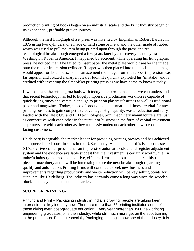production printing of books began on an industrial scale and the Print Industry began on its exponential, profitable growth journey.

Although the first lithograph offset press was invented by Englishman Robert Barclay in 1875 using two cylinders, one made of hard stone or metal and the other made of rubber which was used to pull the item being printed upon through the press, the real technological breakthrough emerged a few years later by a discovery made by Ira Washington Rubel in America. It happened by accident, while operating his lithographic press, he noticed that if he failed to insert paper the metal plate would transfer the image onto the rubber impression cylinder. If paper was then placed into the machine the image would appear on both sides. To his amazement the image from the rubber impression was far superior and created a sharper, clearer look. He quickly exploited his 'mistake` and is credited with inventing the first offset printing press as we have come to know it today.

If we compare the printing methods with today's litho print machines we can understand that recent technology has led to hugely impressive production workhorses capable of quick drying times and versatile enough to print on plastic substrates as well as traditional paper and magazines. Today, speed of production and turnaround times are vital for any printing business to gain competitive advantage. High quality, waste reduction and fully loaded with the latest UV and LED technologies, print machinery manufacturers are just as competitive with each other in the pursuit of business in the form of capital investment as printers are with each other as they ruthlessly undercut each other to win consumer facing customers.

Heidelberg is arguably the market leader for providing printing presses and has achieved an unprecedented boost in sales in the U.K.recently. An example of this is speedmaster XL75 62 five-colour press, it has an impressive automatic colour and register adjustment system and the evidence available suggest that the investment is certainly worthwhile. In today's industry the most competitive, efficient firms tend to use this incredibly reliable piece of machinery and it will be interesting to see the next breakthrough regarding quality and automation. Printing firms will continue to seek new business and improvements regarding productivity and waste reduction will be key selling points for suppliers like Heidelberg. The industry has certainly come a long way since the wooden blocks and clay tablets mentioned earlier.

## **SCOPE OF PRINTING-**

Printing and Print – Packaging industry in India is growing; people are taking keen interest in this key industry now. There are more than 36 printing institutes some of these giving even post-graduate education. Every year more than 3500 new printing engineering graduates joins the industry, while still much more get on the spot training in the print shops. Printing especially Packaging printing is now one of the industry. It is